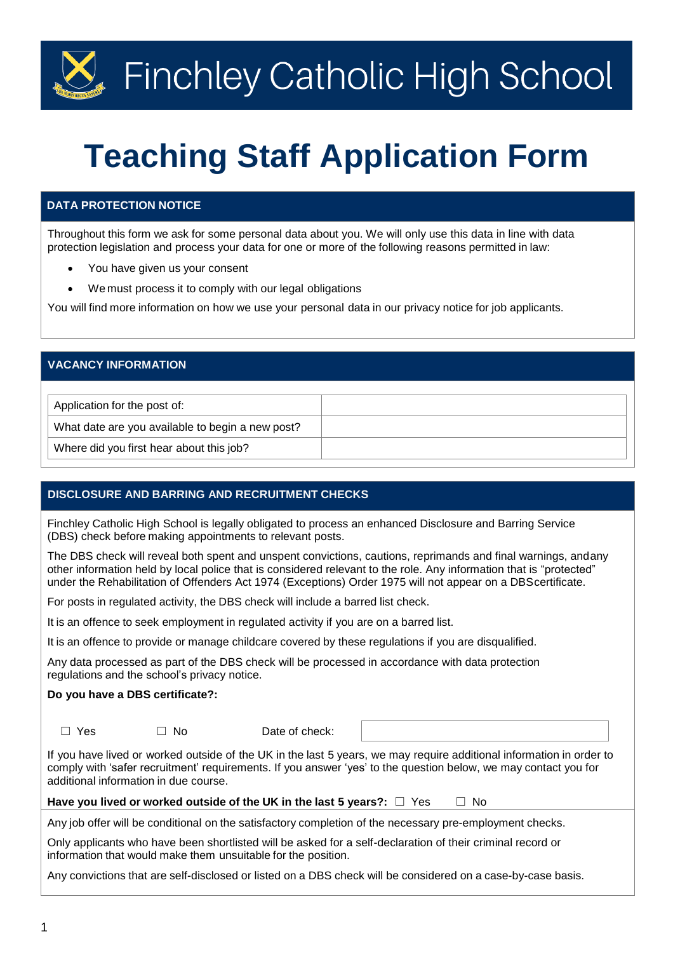# $\mathbb{Z}$  Finchley Catholic High School

# **Teaching Staff Application Form**

## **DATA PROTECTION NOTICE**

Throughout this form we ask for some personal data about you. We will only use this data in line with data protection legislation and process your data for one or more of the following reasons permitted in law:

- You have given us your consent
- We must process it to comply with our legal obligations

You will find more information on how we use your personal data in our privacy notice for job applicants.

## **VACANCY INFORMATION**

Application for the post of:

What date are you available to begin a new post?

Where did you first hear about this job?

## **DISCLOSURE AND BARRING AND RECRUITMENT CHECKS**

Finchley Catholic High School is legally obligated to process an enhanced Disclosure and Barring Service (DBS) check before making appointments to relevant posts.

The DBS check will reveal both spent and unspent convictions, cautions, reprimands and final warnings, andany other information held by local police that is considered relevant to the role. Any information that is "protected" under the Rehabilitation of Offenders Act 1974 (Exceptions) Order 1975 will not appear on a DBScertificate.

For posts in regulated activity, the DBS check will include a barred list check.

It is an offence to seek employment in regulated activity if you are on a barred list.

It is an offence to provide or manage childcare covered by these regulations if you are disqualified.

Any data processed as part of the DBS check will be processed in accordance with data protection regulations and the school's privacy notice.

#### **Do you have a DBS certificate?:**

☐ Yes ☐ No Date of check:

If you have lived or worked outside of the UK in the last 5 years, we may require additional information in order to comply with 'safer recruitment' requirements. If you answer 'yes' to the question below, we may contact you for additional information in due course.

#### **Have you lived or worked outside of the UK in the last 5 years?:** ☐ Yes ☐ No

Any job offer will be conditional on the satisfactory completion of the necessary pre-employment checks.

Only applicants who have been shortlisted will be asked for a self-declaration of their criminal record or information that would make them unsuitable for the position.

Any convictions that are self-disclosed or listed on a DBS check will be considered on a case-by-case basis.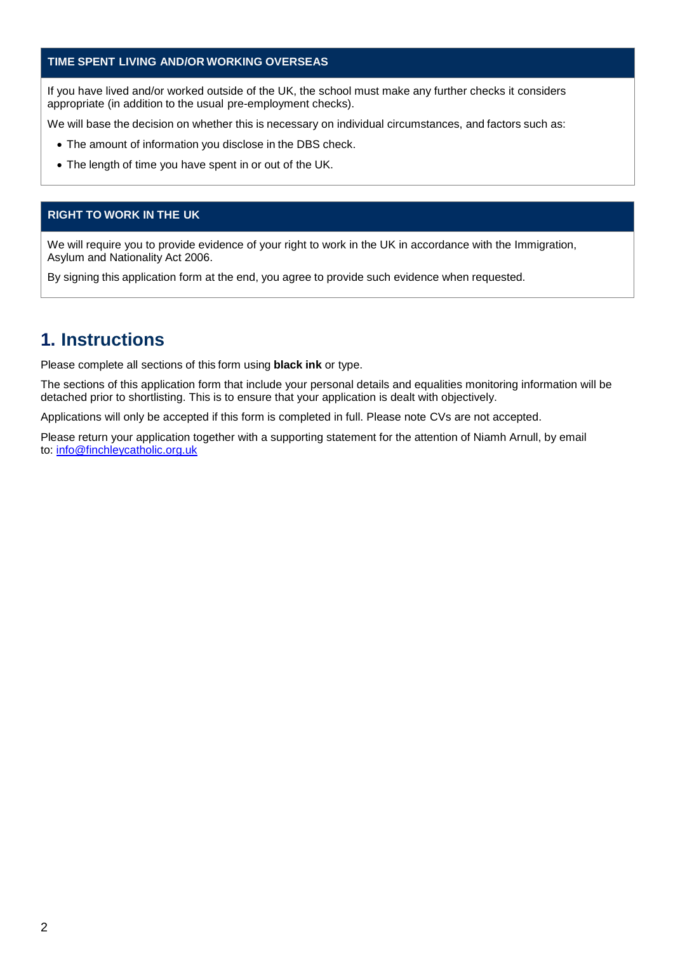## **TIME SPENT LIVING AND/OR WORKING OVERSEAS**

If you have lived and/or worked outside of the UK, the school must make any further checks it considers appropriate (in addition to the usual pre-employment checks).

We will base the decision on whether this is necessary on individual circumstances, and factors such as:

- The amount of information you disclose in the DBS check.
- The length of time you have spent in or out of the UK.

#### **RIGHT TO WORK IN THE UK**

We will require you to provide evidence of your right to work in the UK in accordance with the Immigration, Asylum and Nationality Act 2006.

By signing this application form at the end, you agree to provide such evidence when requested.

## **1. Instructions**

Please complete all sections of this form using **black ink** or type.

The sections of this application form that include your personal details and equalities monitoring information will be detached prior to shortlisting. This is to ensure that your application is dealt with objectively.

Applications will only be accepted if this form is completed in full. Please note CVs are not accepted.

Please return your application together with a supporting statement for the attention of Niamh Arnull, by email to: [info@finchleycatholic.org.uk](mailto:info@finchleycatholic.org.uk)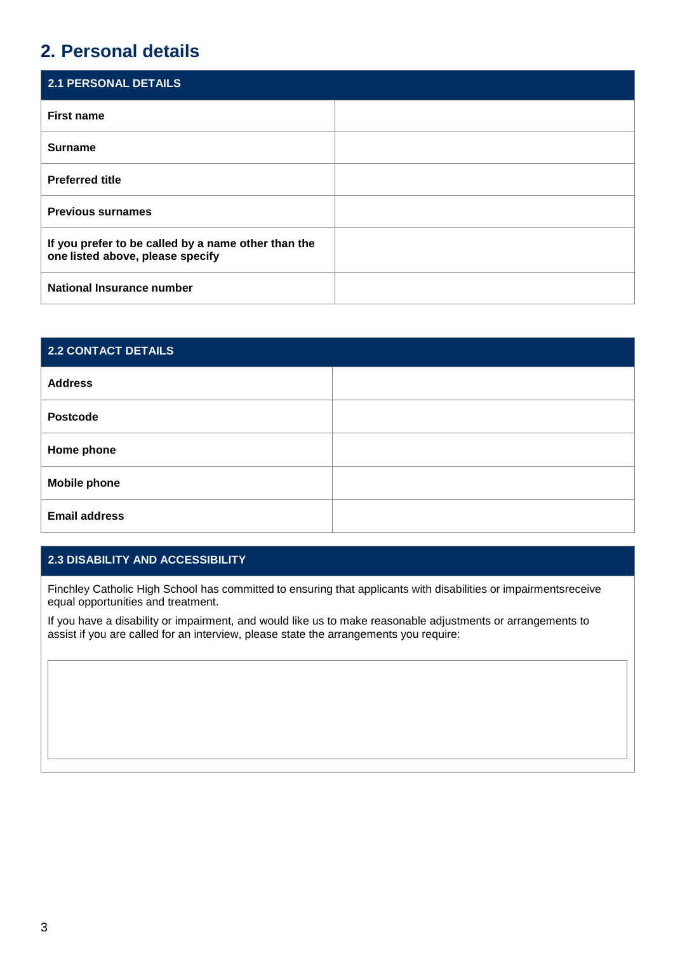## **2. Personal details**

| <b>2.1 PERSONAL DETAILS</b>                                                             |  |
|-----------------------------------------------------------------------------------------|--|
| <b>First name</b>                                                                       |  |
| <b>Surname</b>                                                                          |  |
| <b>Preferred title</b>                                                                  |  |
| <b>Previous surnames</b>                                                                |  |
| If you prefer to be called by a name other than the<br>one listed above, please specify |  |
| National Insurance number                                                               |  |

| 2.2 CONTACT DETAILS  |  |
|----------------------|--|
| <b>Address</b>       |  |
| <b>Postcode</b>      |  |
| Home phone           |  |
| <b>Mobile phone</b>  |  |
| <b>Email address</b> |  |

## **2.3 DISABILITY AND ACCESSIBILITY**

Finchley Catholic High School has committed to ensuring that applicants with disabilities or impairmentsreceive equal opportunities and treatment.

If you have a disability or impairment, and would like us to make reasonable adjustments or arrangements to assist if you are called for an interview, please state the arrangements you require: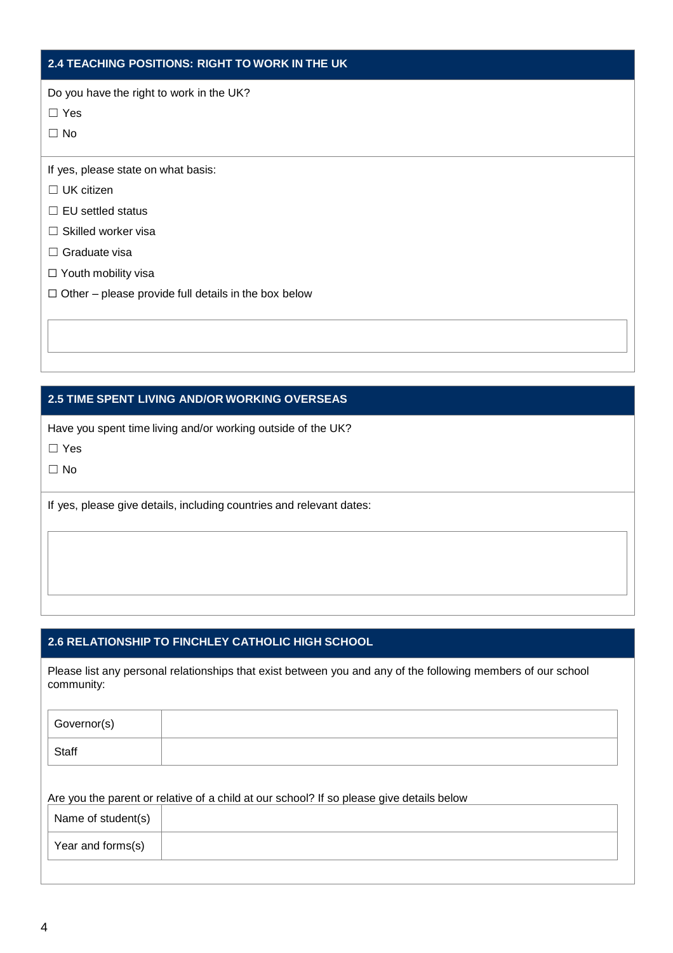## **2.4 TEACHING POSITIONS: RIGHT TO WORK IN THE UK**

Do you have the right to work in the UK?

☐ Yes

☐ No

If yes, please state on what basis:

☐ UK citizen

□ EU settled status

□ Skilled worker visa

- □ Graduate visa
- □ Youth mobility visa
- $\Box$  Other please provide full details in the box below

## **2.5 TIME SPENT LIVING AND/OR WORKING OVERSEAS**

Have you spent time living and/or working outside of the UK?

☐ Yes

☐ No

If yes, please give details, including countries and relevant dates:

## **2.6 RELATIONSHIP TO FINCHLEY CATHOLIC HIGH SCHOOL**

Please list any personal relationships that exist between you and any of the following members of our school community:

| Governor(s) |  |
|-------------|--|
| Staff       |  |

Are you the parent or relative of a child at our school? If so please give details below

| Name of student(s) |  |
|--------------------|--|
| Year and forms(s)  |  |
|                    |  |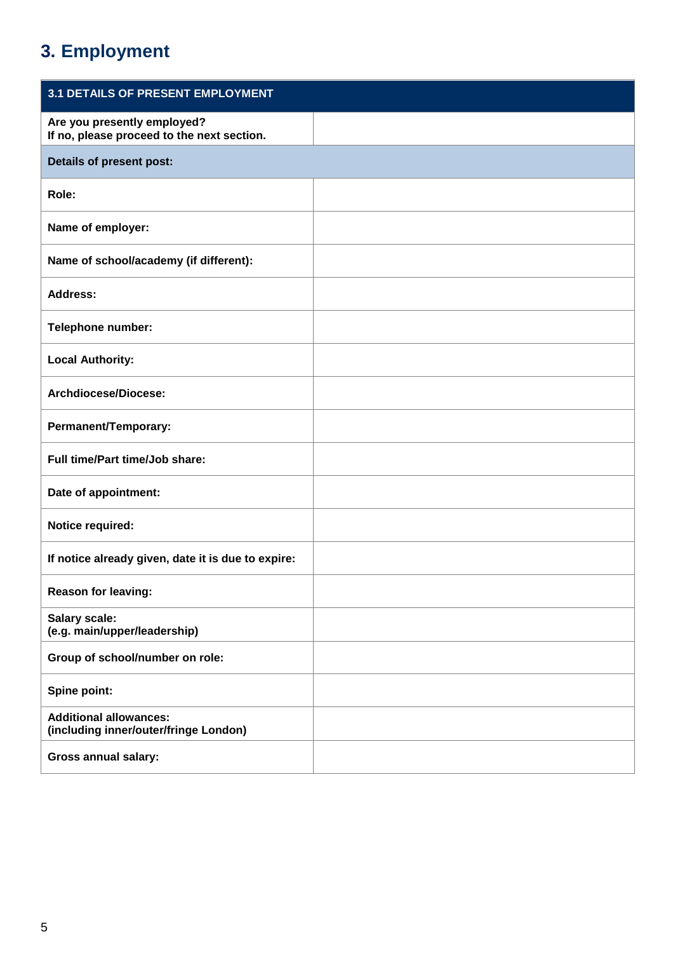## **3. Employment**

| 3.1 DETAILS OF PRESENT EMPLOYMENT                                         |  |
|---------------------------------------------------------------------------|--|
| Are you presently employed?<br>If no, please proceed to the next section. |  |
| Details of present post:                                                  |  |
| Role:                                                                     |  |
| Name of employer:                                                         |  |
| Name of school/academy (if different):                                    |  |
| <b>Address:</b>                                                           |  |
| Telephone number:                                                         |  |
| <b>Local Authority:</b>                                                   |  |
| Archdiocese/Diocese:                                                      |  |
| Permanent/Temporary:                                                      |  |
| Full time/Part time/Job share:                                            |  |
| Date of appointment:                                                      |  |
| Notice required:                                                          |  |
| If notice already given, date it is due to expire:                        |  |
| Reason for leaving:                                                       |  |
| Salary scale:<br>(e.g. main/upper/leadership)                             |  |
| Group of school/number on role:                                           |  |
| Spine point:                                                              |  |
| <b>Additional allowances:</b><br>(including inner/outer/fringe London)    |  |
| <b>Gross annual salary:</b>                                               |  |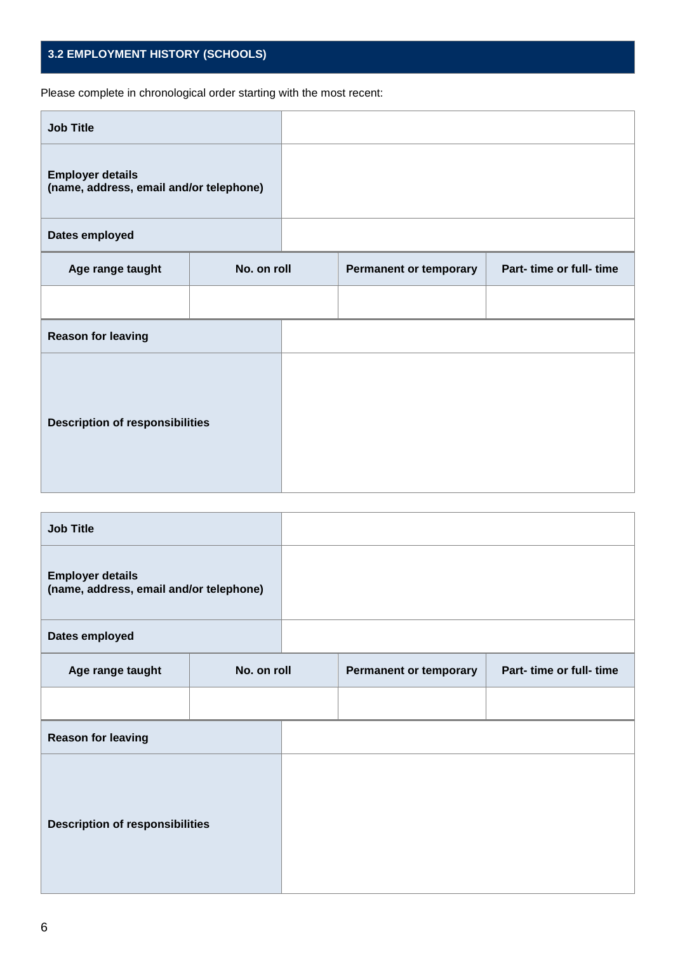## **3.2 EMPLOYMENT HISTORY (SCHOOLS)**

Please complete in chronological order starting with the most recent:

| <b>Job Title</b>                                                   |             |                               |                          |
|--------------------------------------------------------------------|-------------|-------------------------------|--------------------------|
| <b>Employer details</b><br>(name, address, email and/or telephone) |             |                               |                          |
| Dates employed                                                     |             |                               |                          |
| Age range taught                                                   | No. on roll | <b>Permanent or temporary</b> | Part- time or full- time |
|                                                                    |             |                               |                          |
| <b>Reason for leaving</b>                                          |             |                               |                          |
| <b>Description of responsibilities</b>                             |             |                               |                          |

| <b>Job Title</b>                                                   |             |                               |                          |
|--------------------------------------------------------------------|-------------|-------------------------------|--------------------------|
| <b>Employer details</b><br>(name, address, email and/or telephone) |             |                               |                          |
| Dates employed                                                     |             |                               |                          |
| Age range taught                                                   | No. on roll | <b>Permanent or temporary</b> | Part- time or full- time |
|                                                                    |             |                               |                          |
| <b>Reason for leaving</b>                                          |             |                               |                          |
| <b>Description of responsibilities</b>                             |             |                               |                          |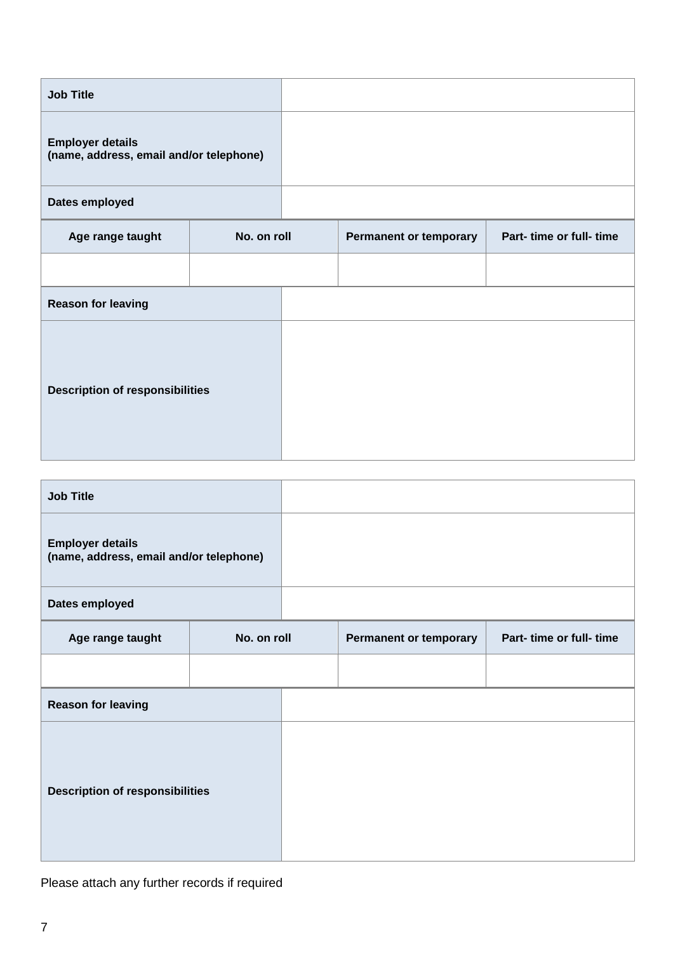| <b>Job Title</b>                                                   |             |                               |                          |
|--------------------------------------------------------------------|-------------|-------------------------------|--------------------------|
| <b>Employer details</b><br>(name, address, email and/or telephone) |             |                               |                          |
| Dates employed                                                     |             |                               |                          |
| Age range taught                                                   | No. on roll | <b>Permanent or temporary</b> | Part- time or full- time |
|                                                                    |             |                               |                          |
| <b>Reason for leaving</b>                                          |             |                               |                          |
| <b>Description of responsibilities</b>                             |             |                               |                          |

| <b>Job Title</b>                                                   |             |                               |                          |
|--------------------------------------------------------------------|-------------|-------------------------------|--------------------------|
| <b>Employer details</b><br>(name, address, email and/or telephone) |             |                               |                          |
| Dates employed                                                     |             |                               |                          |
| Age range taught                                                   | No. on roll | <b>Permanent or temporary</b> | Part- time or full- time |
|                                                                    |             |                               |                          |
| <b>Reason for leaving</b>                                          |             |                               |                          |
| <b>Description of responsibilities</b>                             |             |                               |                          |

Please attach any further records if required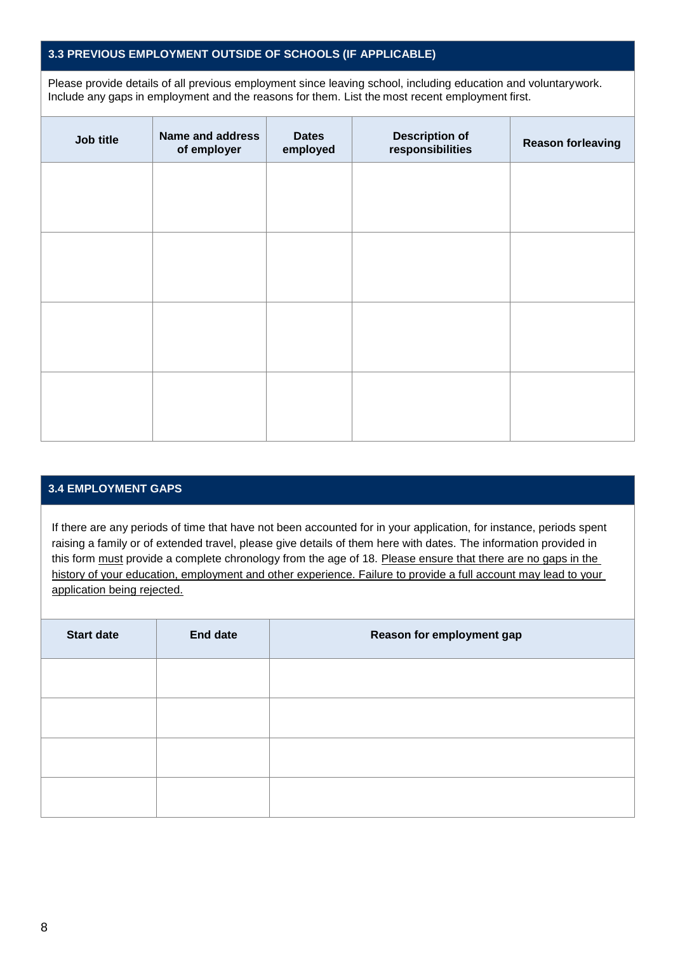## **3.3 PREVIOUS EMPLOYMENT OUTSIDE OF SCHOOLS (IF APPLICABLE)**

Please provide details of all previous employment since leaving school, including education and voluntarywork. Include any gaps in employment and the reasons for them. List the most recent employment first.

| Job title | <b>Name and address</b><br>of employer | <b>Dates</b><br>employed | <b>Description of</b><br>responsibilities | <b>Reason forleaving</b> |
|-----------|----------------------------------------|--------------------------|-------------------------------------------|--------------------------|
|           |                                        |                          |                                           |                          |
|           |                                        |                          |                                           |                          |
|           |                                        |                          |                                           |                          |
|           |                                        |                          |                                           |                          |
|           |                                        |                          |                                           |                          |
|           |                                        |                          |                                           |                          |
|           |                                        |                          |                                           |                          |
|           |                                        |                          |                                           |                          |

#### **3.4 EMPLOYMENT GAPS**

If there are any periods of time that have not been accounted for in your application, for instance, periods spent raising a family or of extended travel, please give details of them here with dates. The information provided in this form must provide a complete chronology from the age of 18. Please ensure that there are no gaps in the history of your education, employment and other experience. Failure to provide a full account may lead to your application being rejected.

| <b>Start date</b> | <b>End date</b> | Reason for employment gap |
|-------------------|-----------------|---------------------------|
|                   |                 |                           |
|                   |                 |                           |
|                   |                 |                           |
|                   |                 |                           |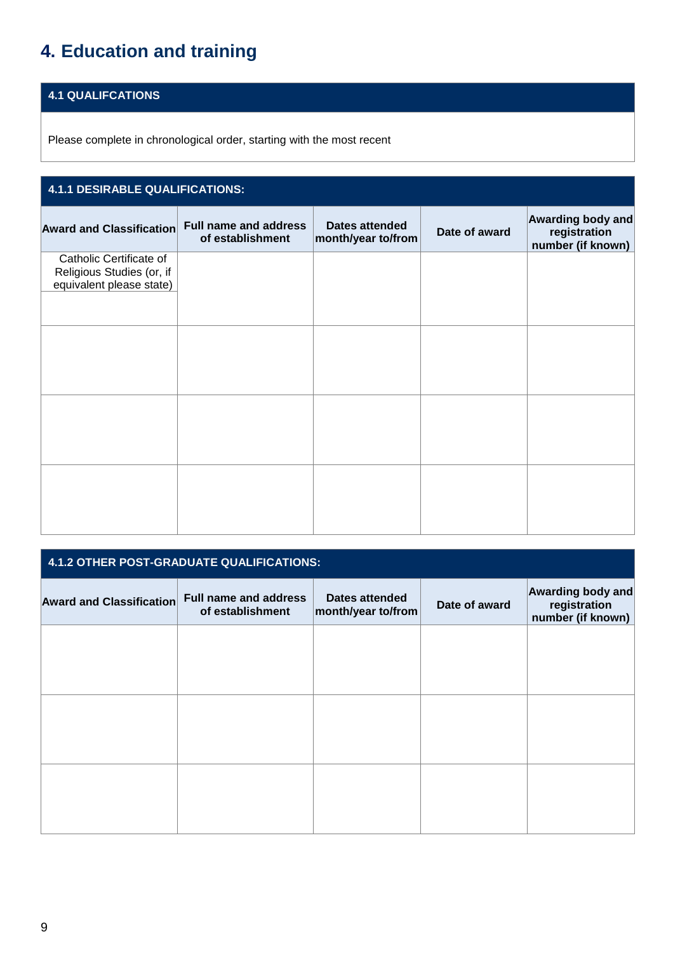## **4. Education and training**

## **4.1 QUALIFCATIONS**

Please complete in chronological order, starting with the most recent

| 4.1.1 DESIRABLE QUALIFICATIONS:                                                  |                                                  |                                             |               |                                                        |  |  |  |
|----------------------------------------------------------------------------------|--------------------------------------------------|---------------------------------------------|---------------|--------------------------------------------------------|--|--|--|
| <b>Award and Classification</b>                                                  | <b>Full name and address</b><br>of establishment | <b>Dates attended</b><br>month/year to/from | Date of award | Awarding body and<br>registration<br>number (if known) |  |  |  |
| Catholic Certificate of<br>Religious Studies (or, if<br>equivalent please state) |                                                  |                                             |               |                                                        |  |  |  |
|                                                                                  |                                                  |                                             |               |                                                        |  |  |  |
|                                                                                  |                                                  |                                             |               |                                                        |  |  |  |
|                                                                                  |                                                  |                                             |               |                                                        |  |  |  |

| 4.1.2 OTHER POST-GRADUATE QUALIFICATIONS: |                                                  |                                             |               |                                                               |
|-------------------------------------------|--------------------------------------------------|---------------------------------------------|---------------|---------------------------------------------------------------|
| <b>Award and Classification</b>           | <b>Full name and address</b><br>of establishment | <b>Dates attended</b><br>month/year to/from | Date of award | <b>Awarding body and</b><br>registration<br>number (if known) |
|                                           |                                                  |                                             |               |                                                               |
|                                           |                                                  |                                             |               |                                                               |
|                                           |                                                  |                                             |               |                                                               |
|                                           |                                                  |                                             |               |                                                               |
|                                           |                                                  |                                             |               |                                                               |
|                                           |                                                  |                                             |               |                                                               |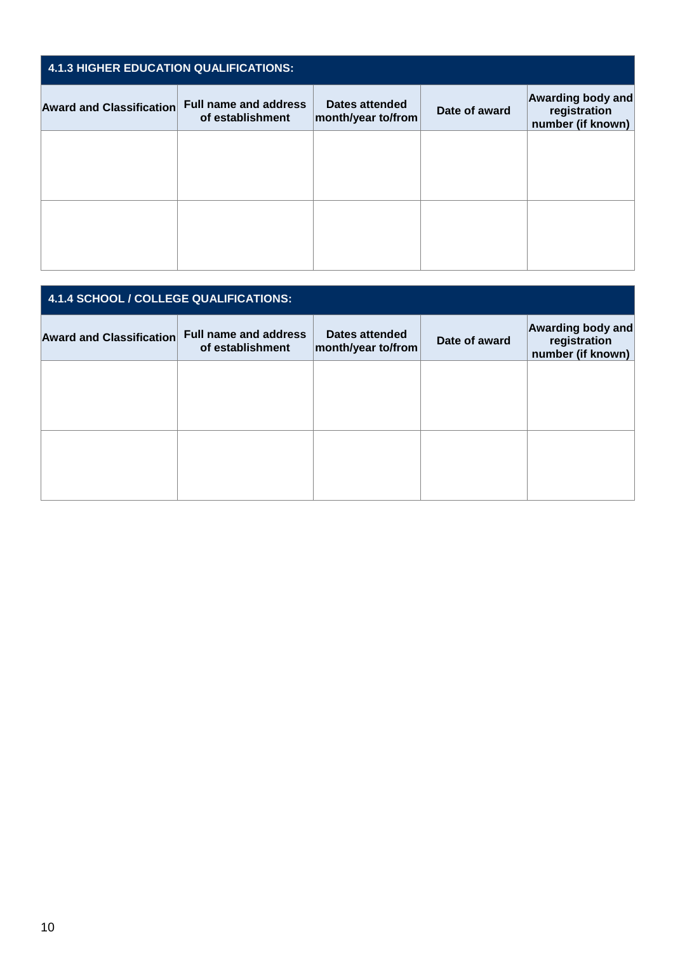| <b>4.1.3 HIGHER EDUCATION QUALIFICATIONS:</b> |                                                  |                                      |               |                                                        |
|-----------------------------------------------|--------------------------------------------------|--------------------------------------|---------------|--------------------------------------------------------|
| <b>Award and Classification</b>               | <b>Full name and address</b><br>of establishment | Dates attended<br>month/year to/from | Date of award | Awarding body and<br>registration<br>number (if known) |
|                                               |                                                  |                                      |               |                                                        |
|                                               |                                                  |                                      |               |                                                        |
|                                               |                                                  |                                      |               |                                                        |
|                                               |                                                  |                                      |               |                                                        |

| 4.1.4 SCHOOL / COLLEGE QUALIFICATIONS: |                                                  |                                       |               |                                                        |
|----------------------------------------|--------------------------------------------------|---------------------------------------|---------------|--------------------------------------------------------|
| <b>Award and Classification</b>        | <b>Full name and address</b><br>of establishment | Dates attended<br> month/year to/from | Date of award | Awarding body and<br>registration<br>number (if known) |
|                                        |                                                  |                                       |               |                                                        |
|                                        |                                                  |                                       |               |                                                        |
|                                        |                                                  |                                       |               |                                                        |
|                                        |                                                  |                                       |               |                                                        |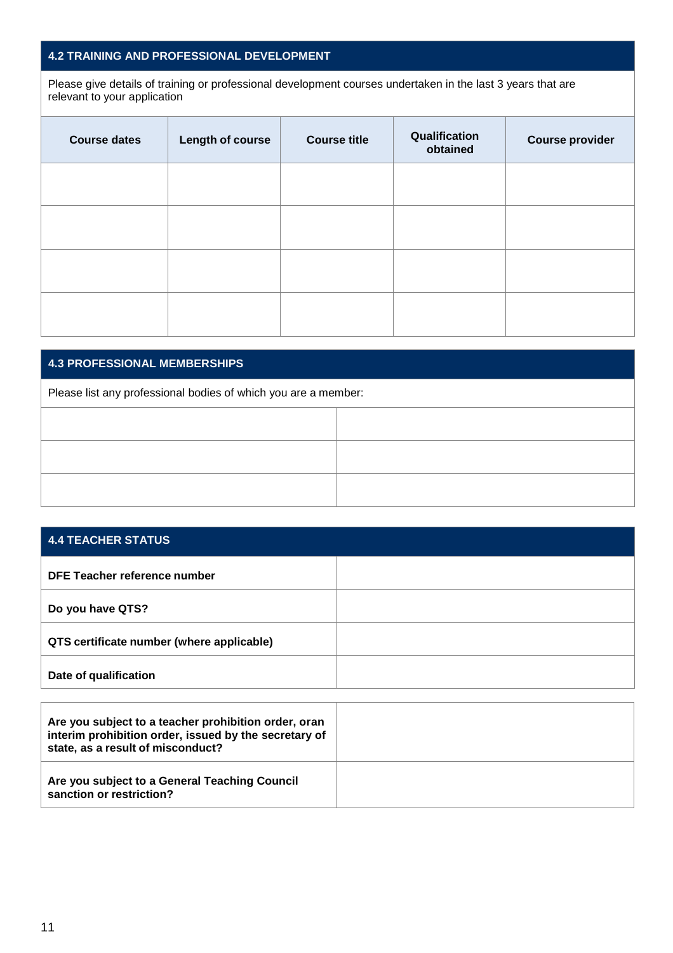## **4.2 TRAINING AND PROFESSIONAL DEVELOPMENT**

Please give details of training or professional development courses undertaken in the last 3 years that are relevant to your application

| <b>Course dates</b> | <b>Length of course</b> | <b>Course title</b> | Qualification<br>obtained | <b>Course provider</b> |
|---------------------|-------------------------|---------------------|---------------------------|------------------------|
|                     |                         |                     |                           |                        |
|                     |                         |                     |                           |                        |
|                     |                         |                     |                           |                        |
|                     |                         |                     |                           |                        |

#### **4.3 PROFESSIONAL MEMBERSHIPS**

Please list any professional bodies of which you are a member:

| <b>4.4 TEACHER STATUS</b>                 |  |
|-------------------------------------------|--|
| DFE Teacher reference number              |  |
| Do you have QTS?                          |  |
| QTS certificate number (where applicable) |  |
| Date of qualification                     |  |

| Are you subject to a teacher prohibition order, oran<br>interim prohibition order, issued by the secretary of<br>state, as a result of misconduct? |  |
|----------------------------------------------------------------------------------------------------------------------------------------------------|--|
| Are you subject to a General Teaching Council<br>sanction or restriction?                                                                          |  |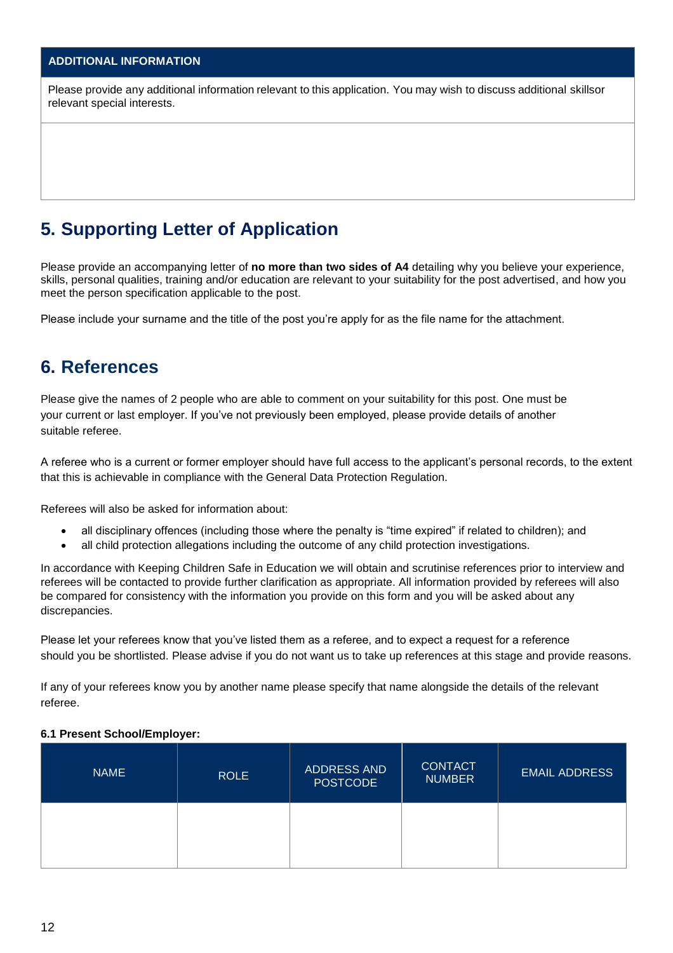## **ADDITIONAL INFORMATION**

Please provide any additional information relevant to this application. You may wish to discuss additional skillsor relevant special interests.

## **5. Supporting Letter of Application**

Please provide an accompanying letter of **no more than two sides of A4** detailing why you believe your experience, skills, personal qualities, training and/or education are relevant to your suitability for the post advertised, and how you meet the person specification applicable to the post.

Please include your surname and the title of the post you're apply for as the file name for the attachment.

## **6. References**

Please give the names of 2 people who are able to comment on your suitability for this post. One must be your current or last employer. If you've not previously been employed, please provide details of another suitable referee.

A referee who is a current or former employer should have full access to the applicant's personal records, to the extent that this is achievable in compliance with the General Data Protection Regulation.

Referees will also be asked for information about:

- all disciplinary offences (including those where the penalty is "time expired" if related to children); and
- all child protection allegations including the outcome of any child protection investigations.

In accordance with Keeping Children Safe in Education we will obtain and scrutinise references prior to interview and referees will be contacted to provide further clarification as appropriate. All information provided by referees will also be compared for consistency with the information you provide on this form and you will be asked about any discrepancies.

Please let your referees know that you've listed them as a referee, and to expect a request for a reference should you be shortlisted. Please advise if you do not want us to take up references at this stage and provide reasons.

If any of your referees know you by another name please specify that name alongside the details of the relevant referee.

#### **6.1 Present School/Employer:**

| <b>NAME</b> | <b>ROLE</b> | ADDRESS AND<br><b>POSTCODE</b> | <b>CONTACT</b><br><b>NUMBER</b> | <b>EMAIL ADDRESS</b> |
|-------------|-------------|--------------------------------|---------------------------------|----------------------|
|             |             |                                |                                 |                      |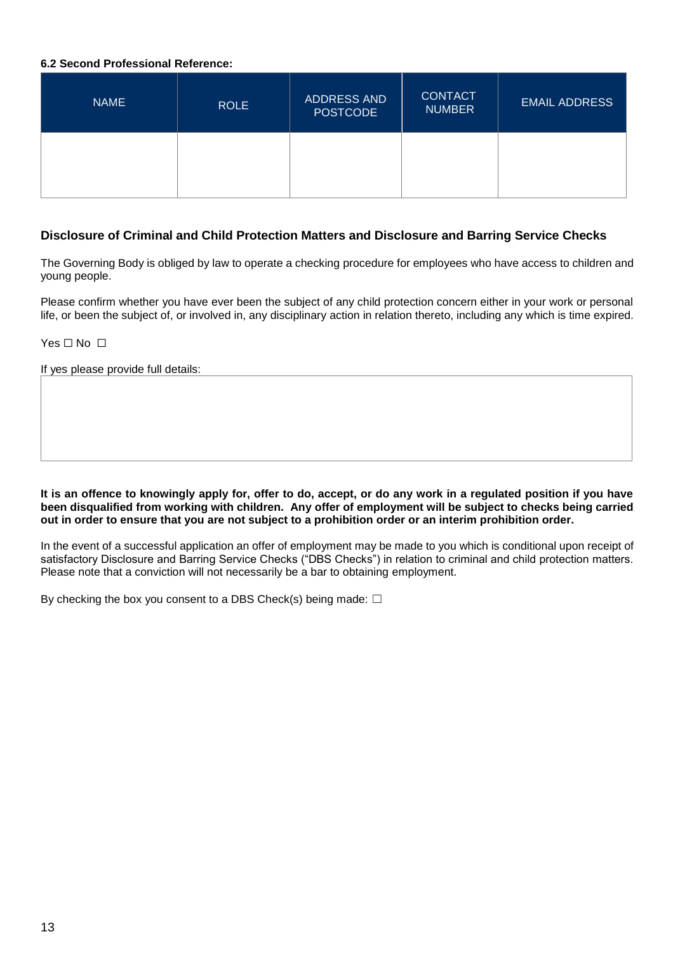#### **6.2 Second Professional Reference:**

| <b>NAME</b> | <b>ROLE</b> | ADDRESS AND<br><b>POSTCODE</b> | <b>CONTACT</b><br><b>NUMBER</b> | <b>EMAIL ADDRESS</b> |
|-------------|-------------|--------------------------------|---------------------------------|----------------------|
|             |             |                                |                                 |                      |

## **Disclosure of Criminal and Child Protection Matters and Disclosure and Barring Service Checks**

The Governing Body is obliged by law to operate a checking procedure for employees who have access to children and young people.

Please confirm whether you have ever been the subject of any child protection concern either in your work or personal life, or been the subject of, or involved in, any disciplinary action in relation thereto, including any which is time expired.

Yes □ No □

If yes please provide full details:

**It is an offence to knowingly apply for, offer to do, accept, or do any work in a regulated position if you have been disqualified from working with children. Any offer of employment will be subject to checks being carried out in order to ensure that you are not subject to a prohibition order or an interim prohibition order.**

In the event of a successful application an offer of employment may be made to you which is conditional upon receipt of satisfactory Disclosure and Barring Service Checks ("DBS Checks") in relation to criminal and child protection matters. Please note that a conviction will not necessarily be a bar to obtaining employment.

By checking the box you consent to a DBS Check(s) being made:  $□$